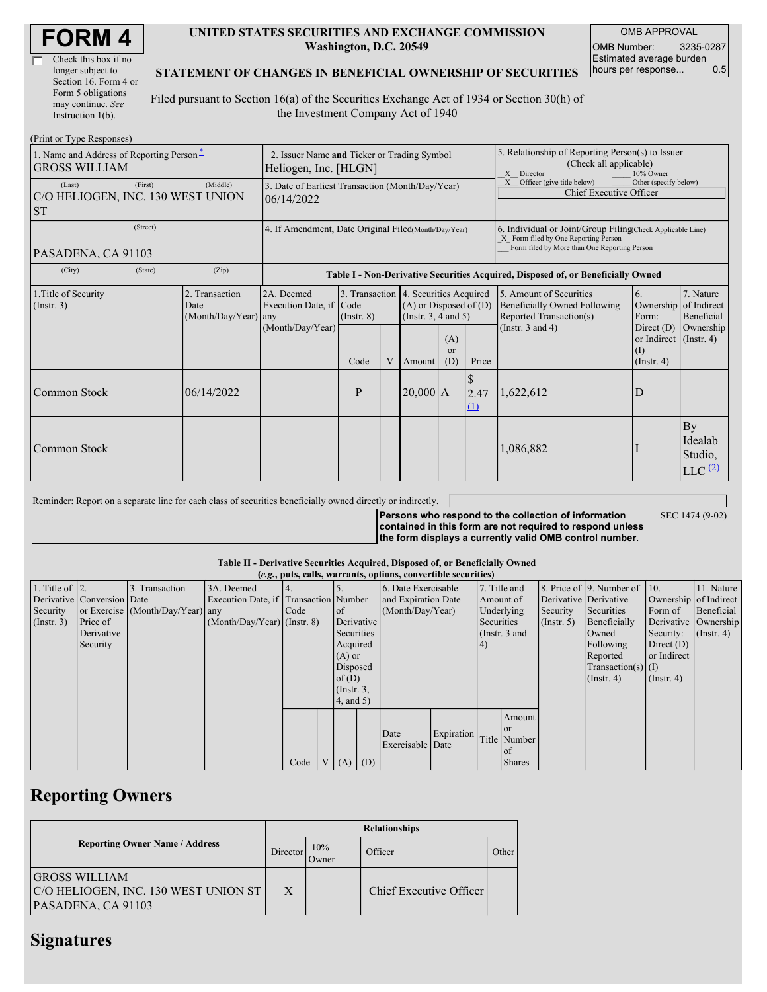| <b>FORM4</b> |
|--------------|
|--------------|

| Check this box if no  |
|-----------------------|
| longer subject to     |
| Section 16. Form 4 or |
| Form 5 obligations    |
| may continue. See     |
| Instruction 1(b).     |

### **UNITED STATES SECURITIES AND EXCHANGE COMMISSION Washington, D.C. 20549**

OMB APPROVAL OMB Number: 3235-0287 Estimated average burden<br>hours per response... 0.5 hours per response...

## **STATEMENT OF CHANGES IN BENEFICIAL OWNERSHIP OF SECURITIES**

Filed pursuant to Section 16(a) of the Securities Exchange Act of 1934 or Section 30(h) of the Investment Company Act of 1940

| (Print or Type Responses)                                        |                                                                                                      |                                            |                                                                  |                 |                |                                                                                                                                                    |                                                                                |                   |                                                                                                                    |                                                                                |                                                |
|------------------------------------------------------------------|------------------------------------------------------------------------------------------------------|--------------------------------------------|------------------------------------------------------------------|-----------------|----------------|----------------------------------------------------------------------------------------------------------------------------------------------------|--------------------------------------------------------------------------------|-------------------|--------------------------------------------------------------------------------------------------------------------|--------------------------------------------------------------------------------|------------------------------------------------|
| 1. Name and Address of Reporting Person-<br><b>GROSS WILLIAM</b> | 2. Issuer Name and Ticker or Trading Symbol<br>Heliogen, Inc. [HLGN]                                 |                                            |                                                                  |                 |                | 5. Relationship of Reporting Person(s) to Issuer<br>(Check all applicable)<br>Director<br>10% Owner<br>X                                           |                                                                                |                   |                                                                                                                    |                                                                                |                                                |
| (Last)<br>C/O HELIOGEN, INC. 130 WEST UNION<br><b>ST</b>         | 3. Date of Earliest Transaction (Month/Day/Year)<br>06/14/2022                                       |                                            |                                                                  |                 |                |                                                                                                                                                    | Other (specify below)<br>Officer (give title below)<br>Chief Executive Officer |                   |                                                                                                                    |                                                                                |                                                |
| PASADENA, CA 91103                                               | 4. If Amendment, Date Original Filed(Month/Day/Year)                                                 |                                            |                                                                  |                 |                | 6. Individual or Joint/Group Filing Check Applicable Line)<br>X Form filed by One Reporting Person<br>Form filed by More than One Reporting Person |                                                                                |                   |                                                                                                                    |                                                                                |                                                |
| (City)                                                           | (State)<br>(Zip)<br>Table I - Non-Derivative Securities Acquired, Disposed of, or Beneficially Owned |                                            |                                                                  |                 |                |                                                                                                                                                    |                                                                                |                   |                                                                                                                    |                                                                                |                                                |
| 1. Title of Security<br>(Insert. 3)                              |                                                                                                      | 2. Transaction<br>Date<br>(Month/Day/Year) | 2A. Deemed<br>Execution Date, if Code<br>any<br>(Month/Day/Year) | $($ Instr. $8)$ |                | 3. Transaction 4. Securities Acquired<br>$(A)$ or Disposed of $(D)$<br>(Instr. $3, 4$ and $5$ )<br>(A)                                             |                                                                                |                   | 5. Amount of Securities<br><b>Beneficially Owned Following</b><br>Reported Transaction(s)<br>(Instr. $3$ and $4$ ) | 6.<br>Ownership of Indirect<br>Form:<br>Direct $(D)$<br>or Indirect (Instr. 4) | 7. Nature<br>Beneficial<br>Ownership           |
|                                                                  |                                                                                                      |                                            |                                                                  | Code            | $\overline{V}$ | Amount                                                                                                                                             | $\alpha$<br>(D)                                                                | Price             |                                                                                                                    | (1)<br>$($ Instr. 4 $)$                                                        |                                                |
| Common Stock                                                     |                                                                                                      | 06/14/2022                                 |                                                                  | P               |                | $20,000$ A                                                                                                                                         |                                                                                | \$<br>2.47<br>(1) | 1,622,612                                                                                                          | D                                                                              |                                                |
| Common Stock                                                     |                                                                                                      |                                            |                                                                  |                 |                |                                                                                                                                                    |                                                                                |                   | 1,086,882                                                                                                          |                                                                                | By<br>Idealab<br>Studio,<br>LLC <sup>(2)</sup> |

| Reminder: Report on a separate line for each class of securities beneficially owned directly or indirectly. |                                                           |                 |
|-------------------------------------------------------------------------------------------------------------|-----------------------------------------------------------|-----------------|
|                                                                                                             | Persons who respond to the collection of information      | SEC 1474 (9-02) |
|                                                                                                             | contained in this form are not required to respond unless |                 |
|                                                                                                             | the form displays a currently valid OMB control number.   |                 |

### **Table II - Derivative Securities Acquired, Disposed of, or Beneficially Owned**

|                        | (e.g., puts, calls, warrants, options, convertible securities) |                                  |                                       |      |  |                 |                  |                     |                     |                 |               |               |                          |                       |                      |
|------------------------|----------------------------------------------------------------|----------------------------------|---------------------------------------|------|--|-----------------|------------------|---------------------|---------------------|-----------------|---------------|---------------|--------------------------|-----------------------|----------------------|
| 1. Title of $\vert$ 2. |                                                                | 3. Transaction                   | 3A. Deemed                            |      |  |                 |                  | 6. Date Exercisable |                     | 7. Title and    |               |               | 8. Price of 9. Number of | $\vert$ 10.           | 11. Nature           |
|                        | Derivative Conversion Date                                     |                                  | Execution Date, if Transaction Number |      |  |                 |                  |                     | and Expiration Date |                 | Amount of     |               | Derivative Derivative    | Ownership of Indirect |                      |
| Security               |                                                                | or Exercise (Month/Day/Year) any |                                       | Code |  | of              | (Month/Day/Year) |                     |                     | Underlying      |               | Security      | Securities               | Form of               | Beneficial           |
| $($ Instr. 3 $)$       | Price of                                                       |                                  | $(Month/Day/Year)$ (Instr. 8)         |      |  | Derivative      |                  |                     |                     | Securities      |               | $($ Instr. 5) | Beneficially             |                       | Derivative Ownership |
|                        | Derivative                                                     |                                  |                                       |      |  | Securities      |                  |                     |                     | (Instr. $3$ and |               |               | Owned                    | Security:             | $($ Instr. 4)        |
|                        | Security                                                       |                                  |                                       |      |  |                 | Acquired         |                     |                     |                 |               |               | Following                | Direct $(D)$          |                      |
|                        |                                                                |                                  |                                       |      |  |                 | $(A)$ or         |                     |                     |                 |               |               | Reported                 | or Indirect           |                      |
|                        |                                                                |                                  |                                       |      |  |                 | Disposed         |                     |                     |                 |               |               | Transaction(s) $(I)$     |                       |                      |
|                        |                                                                |                                  |                                       |      |  | of $(D)$        |                  |                     |                     |                 |               |               | $($ Instr. 4 $)$         | $($ Instr. 4 $)$      |                      |
|                        |                                                                |                                  |                                       |      |  | $($ Instr. 3,   |                  |                     |                     |                 |               |               |                          |                       |                      |
|                        |                                                                |                                  |                                       |      |  | $4$ , and $5$ ) |                  |                     |                     |                 |               |               |                          |                       |                      |
|                        |                                                                |                                  |                                       |      |  |                 |                  |                     |                     |                 | Amount        |               |                          |                       |                      |
|                        |                                                                |                                  |                                       |      |  |                 |                  |                     |                     |                 | <b>or</b>     |               |                          |                       |                      |
|                        |                                                                |                                  |                                       |      |  |                 |                  | Date                | Expiration          |                 | Title Number  |               |                          |                       |                      |
|                        |                                                                |                                  |                                       |      |  |                 |                  | Exercisable Date    |                     |                 | l of          |               |                          |                       |                      |
|                        |                                                                |                                  |                                       | Code |  | $V(A)$ (D)      |                  |                     |                     |                 | <b>Shares</b> |               |                          |                       |                      |

## **Reporting Owners**

|                                                                                    | <b>Relationships</b> |              |                         |       |  |  |  |  |  |
|------------------------------------------------------------------------------------|----------------------|--------------|-------------------------|-------|--|--|--|--|--|
| <b>Reporting Owner Name / Address</b>                                              | Director             | 10%<br>Owner | Officer                 | Other |  |  |  |  |  |
| <b>GROSS WILLIAM</b><br>C/O HELIOGEN, INC. 130 WEST UNION ST<br>PASADENA, CA 91103 | X                    |              | Chief Executive Officer |       |  |  |  |  |  |

# **Signatures**